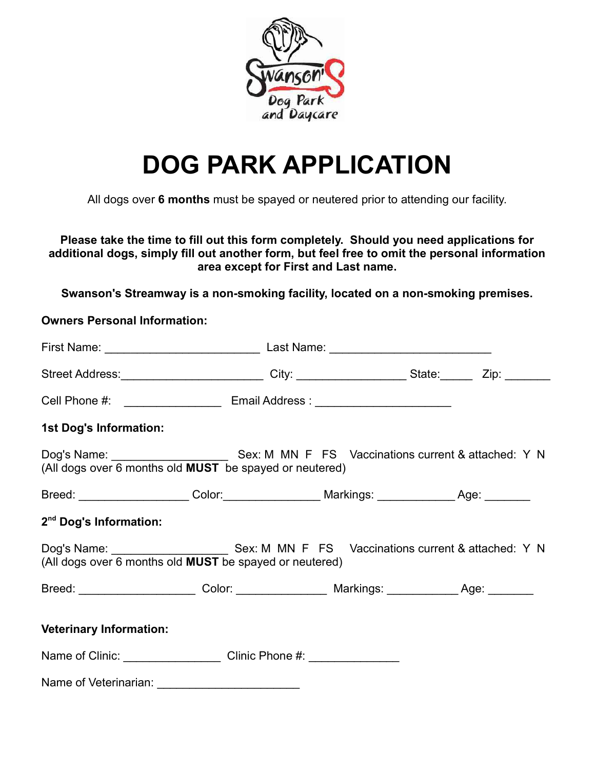

## DOG PARK APPLICATION

All dogs over 6 months must be spayed or neutered prior to attending our facility.

Please take the time to fill out this form completely. Should you need applications for additional dogs, simply fill out another form, but feel free to omit the personal information area except for First and Last name.

Swanson's Streamway is a non-smoking facility, located on a non-smoking premises.

Owners Personal Information:

| Street Address:__________________________City: ___________________State:________Zip: _________                                                       |  |  |  |  |
|------------------------------------------------------------------------------------------------------------------------------------------------------|--|--|--|--|
| Cell Phone #: __________________________________ Email Address : _______________                                                                     |  |  |  |  |
| 1st Dog's Information:                                                                                                                               |  |  |  |  |
| (All dogs over 6 months old MUST be spayed or neutered)                                                                                              |  |  |  |  |
| Breed: ____________________Color:__________________Markings: ______________Age: ________                                                             |  |  |  |  |
| 2 <sup>nd</sup> Dog's Information:                                                                                                                   |  |  |  |  |
| Dog's Name: _________________________Sex: M_MN_F_FS__Vaccinations current & attached: Y_N<br>(All dogs over 6 months old MUST be spayed or neutered) |  |  |  |  |
| Breed: ______________________Color: __________________Markings: _____________Age: ________                                                           |  |  |  |  |
| <b>Veterinary Information:</b>                                                                                                                       |  |  |  |  |
| Name of Clinic: _______________________Clinic Phone #: ________________                                                                              |  |  |  |  |
| Name of Veterinarian:                                                                                                                                |  |  |  |  |